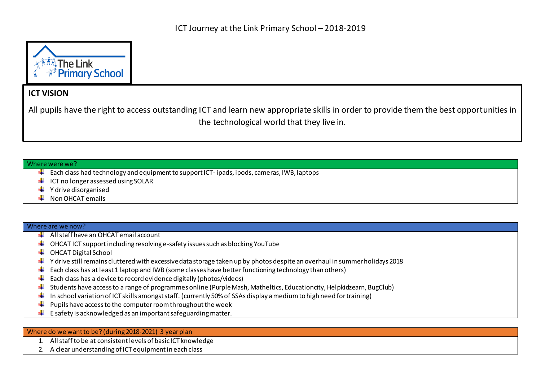

## **ICT VISION**

All pupils have the right to access outstanding ICT and learn new appropriate skills in order to provide them the best opportunities in the technological world that they live in.

## Where were we?

- $\ddot{+}$  Each class had technology and equipment to support ICT- ipads, ipods, cameras, IWB, laptops
- $\downarrow$  ICT no longer assessed using SOLAR
- $\bigstar$  Y drive disorganised
- Non OHCAT emails

## Where are we now?

- All staff have an OHCAT email account
- OHCAT ICT support including resolving e-safety issues such as blocking YouTube ۰.
- OHCAT Digital School
- $\ddotplus$  Y drive still remains cluttered with excessive data storage taken up by photos despite an overhaul in summer holidays 2018
- Each class has at least 1 laptop and IWB (some classes have better functioning technology than others) ۰.
- Each class has a device to record evidence digitally (photos/videos) ÷
- Students have access to a range of programmes online (Purple Mash, Matheltics, Educationcity, Helpkidzearn, BugClub) ۰.
- In school variation of ICT skills amongst staff. (currently 50% of SSAs display a medium to high need for training) ÷
- Pupils have access to the computer room throughout the week ÷
- $\ddot{\phantom{1}}$  E safety is acknowledged as an important safeguarding matter.

## Where do we want to be? (during 2018-2021) 3 year plan

- 1. All staff to be at consistent levels of basic ICT knowledge
- 2. A clear understanding of ICT equipmentin each class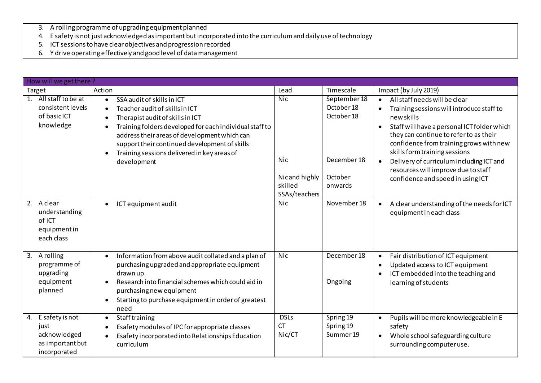- 3. A rolling programme of upgrading equipment planned
- 4. E safety is not just acknowledged as important but incorporated into the curriculum and daily use of technology
- 5. ICT sessions to have clear objectives and progression recorded
- 6. Y drive operating effectively and good level of datamanagement

| How will we get there?                               |                                                                     |                                                                                                                                                                                                                                                                                                                                                                                |                                                                       |                                                                               |                                                                                                                                                                                                                                                                                                                                                                                                                                           |  |  |  |  |  |
|------------------------------------------------------|---------------------------------------------------------------------|--------------------------------------------------------------------------------------------------------------------------------------------------------------------------------------------------------------------------------------------------------------------------------------------------------------------------------------------------------------------------------|-----------------------------------------------------------------------|-------------------------------------------------------------------------------|-------------------------------------------------------------------------------------------------------------------------------------------------------------------------------------------------------------------------------------------------------------------------------------------------------------------------------------------------------------------------------------------------------------------------------------------|--|--|--|--|--|
| Target                                               |                                                                     | Action                                                                                                                                                                                                                                                                                                                                                                         | Lead                                                                  | Timescale                                                                     | Impact (by July 2019)                                                                                                                                                                                                                                                                                                                                                                                                                     |  |  |  |  |  |
| 1.<br>of basic ICT<br>knowledge                      | All staff to be at<br>consistent levels                             | SSA audit of skills in ICT<br>$\bullet$<br>Teacher audit of skills in ICT<br>$\bullet$<br>Therapist audit of skills in ICT<br>$\bullet$<br>Training folders developed for each individual staff to<br>$\bullet$<br>address their areas of development which can<br>support their continued development of skills<br>Training sessions delivered in key areas of<br>development | <b>Nic</b><br><b>Nic</b><br>Nicand highly<br>skilled<br>SSAs/teachers | September 18<br>October 18<br>October 18<br>December 18<br>October<br>onwards | All staff needs will be clear<br>$\bullet$<br>Training sessions will introduce staff to<br>$\bullet$<br>new skills<br>Staff will have a personal ICT folder which<br>$\bullet$<br>they can continue to refer to as their<br>confidence from training grows with new<br>skills form training sessions<br>Delivery of curriculum including ICT and<br>$\bullet$<br>resources will improve due to staff<br>confidence and speed in using ICT |  |  |  |  |  |
| 2.<br>A clear<br>of ICT<br>each class                | understanding<br>equipmentin                                        | ICT equipment audit<br>$\bullet$                                                                                                                                                                                                                                                                                                                                               | <b>Nic</b>                                                            | November 18                                                                   | A clear understanding of the needs for ICT<br>$\bullet$<br>equipment in each class                                                                                                                                                                                                                                                                                                                                                        |  |  |  |  |  |
| A rolling<br>3.<br>upgrading<br>equipment<br>planned | programme of                                                        | Information from above audit collated and a plan of<br>$\bullet$<br>purchasing upgraded and appropriate equipment<br>drawn up.<br>Research into financial schemes which could aid in<br>$\bullet$<br>purchasing new equipment<br>Starting to purchase equipment in order of greatest<br>$\bullet$<br>need                                                                      | <b>Nic</b>                                                            | December 18<br>Ongoing                                                        | Fair distribution of ICT equipment<br>$\bullet$<br>Updated access to ICT equipment<br>$\bullet$<br>ICT embedded into the teaching and<br>$\bullet$<br>learning of students                                                                                                                                                                                                                                                                |  |  |  |  |  |
| 4.<br>just                                           | E safety is not<br>acknowledged<br>as important but<br>incorporated | <b>Staff training</b><br>$\bullet$<br>Esafety modules of IPC for appropriate classes<br>$\bullet$<br>Esafety incorporated into Relationships Education<br>curriculum                                                                                                                                                                                                           | <b>DSLs</b><br><b>CT</b><br>Nic/CT                                    | Spring 19<br>Spring 19<br>Summer 19                                           | Pupils will be more knowledgeable in E<br>$\bullet$<br>safety<br>Whole school safeguarding culture<br>$\bullet$<br>surrounding computer use.                                                                                                                                                                                                                                                                                              |  |  |  |  |  |